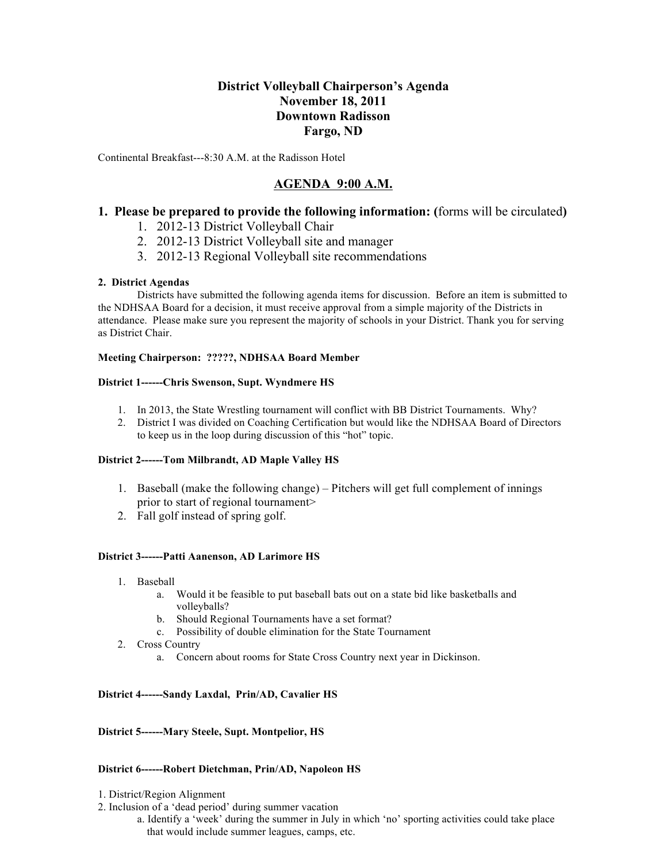# **District Volleyball Chairperson's Agenda November 18, 2011 Downtown Radisson Fargo, ND**

Continental Breakfast---8:30 A.M. at the Radisson Hotel

# **AGENDA 9:00 A.M.**

## **1. Please be prepared to provide the following information: (**forms will be circulated**)**

- 1. 2012-13 District Volleyball Chair
- 2. 2012-13 District Volleyball site and manager
- 3. 2012-13 Regional Volleyball site recommendations

## **2. District Agendas**

Districts have submitted the following agenda items for discussion. Before an item is submitted to the NDHSAA Board for a decision, it must receive approval from a simple majority of the Districts in attendance. Please make sure you represent the majority of schools in your District. Thank you for serving as District Chair.

## **Meeting Chairperson: ?????, NDHSAA Board Member**

## **District 1------Chris Swenson, Supt. Wyndmere HS**

- 1. In 2013, the State Wrestling tournament will conflict with BB District Tournaments. Why?
- 2. District I was divided on Coaching Certification but would like the NDHSAA Board of Directors to keep us in the loop during discussion of this "hot" topic.

## **District 2------Tom Milbrandt, AD Maple Valley HS**

- 1. Baseball (make the following change) Pitchers will get full complement of innings prior to start of regional tournament>
- 2. Fall golf instead of spring golf.

## **District 3------Patti Aanenson, AD Larimore HS**

- 1. Baseball
	- a. Would it be feasible to put baseball bats out on a state bid like basketballs and volleyballs?
	- b. Should Regional Tournaments have a set format?
	- c. Possibility of double elimination for the State Tournament
- 2. Cross Country
	- a. Concern about rooms for State Cross Country next year in Dickinson.

## **District 4------Sandy Laxdal, Prin/AD, Cavalier HS**

## **District 5------Mary Steele, Supt. Montpelior, HS**

## **District 6------Robert Dietchman, Prin/AD, Napoleon HS**

- 1. District/Region Alignment
- 2. Inclusion of a 'dead period' during summer vacation
	- a. Identify a 'week' during the summer in July in which 'no' sporting activities could take place that would include summer leagues, camps, etc.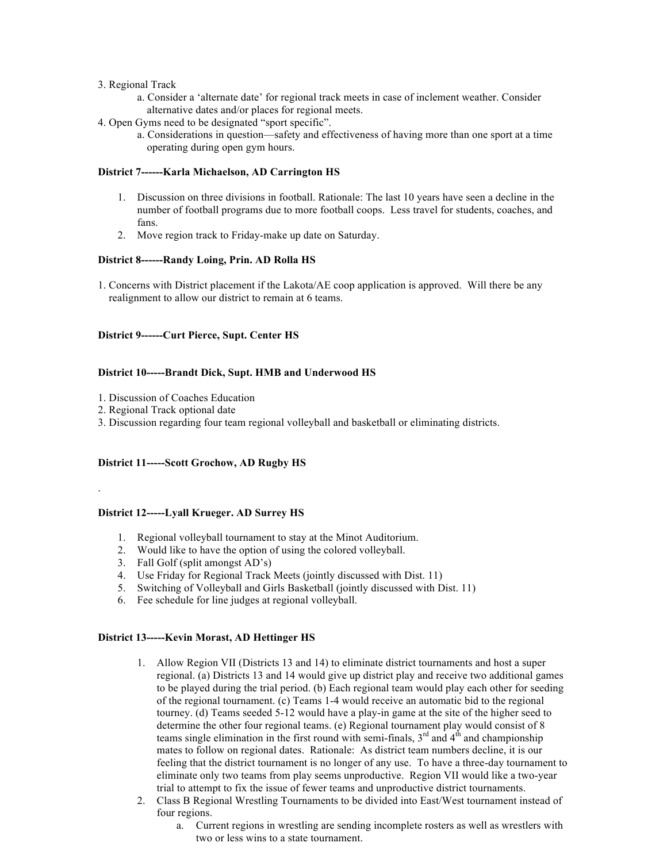#### 3. Regional Track

- a. Consider a 'alternate date' for regional track meets in case of inclement weather. Consider alternative dates and/or places for regional meets.
- 4. Open Gyms need to be designated "sport specific".
	- a. Considerations in question—safety and effectiveness of having more than one sport at a time operating during open gym hours.

#### **District 7------Karla Michaelson, AD Carrington HS**

- 1. Discussion on three divisions in football. Rationale: The last 10 years have seen a decline in the number of football programs due to more football coops. Less travel for students, coaches, and fans.
- 2. Move region track to Friday-make up date on Saturday.

#### **District 8------Randy Loing, Prin. AD Rolla HS**

1. Concerns with District placement if the Lakota/AE coop application is approved. Will there be any realignment to allow our district to remain at 6 teams.

## **District 9------Curt Pierce, Supt. Center HS**

#### **District 10-----Brandt Dick, Supt. HMB and Underwood HS**

- 1. Discussion of Coaches Education
- 2. Regional Track optional date

.

3. Discussion regarding four team regional volleyball and basketball or eliminating districts.

#### **District 11-----Scott Grochow, AD Rugby HS**

#### **District 12-----Lyall Krueger. AD Surrey HS**

- 1. Regional volleyball tournament to stay at the Minot Auditorium.
- 2. Would like to have the option of using the colored volleyball.
- 3. Fall Golf (split amongst AD's)
- 4. Use Friday for Regional Track Meets (jointly discussed with Dist. 11)
- 5. Switching of Volleyball and Girls Basketball (jointly discussed with Dist. 11)
- 6. Fee schedule for line judges at regional volleyball.

## **District 13-----Kevin Morast, AD Hettinger HS**

- 1. Allow Region VII (Districts 13 and 14) to eliminate district tournaments and host a super regional. (a) Districts 13 and 14 would give up district play and receive two additional games to be played during the trial period. (b) Each regional team would play each other for seeding of the regional tournament. (c) Teams 1-4 would receive an automatic bid to the regional tourney. (d) Teams seeded 5-12 would have a play-in game at the site of the higher seed to determine the other four regional teams. (e) Regional tournament play would consist of 8 teams single elimination in the first round with semi-finals,  $3<sup>rd</sup>$  and  $4<sup>th</sup>$  and championship mates to follow on regional dates. Rationale: As district team numbers decline, it is our feeling that the district tournament is no longer of any use. To have a three-day tournament to eliminate only two teams from play seems unproductive. Region VII would like a two-year trial to attempt to fix the issue of fewer teams and unproductive district tournaments.
- 2. Class B Regional Wrestling Tournaments to be divided into East/West tournament instead of four regions.
	- a. Current regions in wrestling are sending incomplete rosters as well as wrestlers with two or less wins to a state tournament.